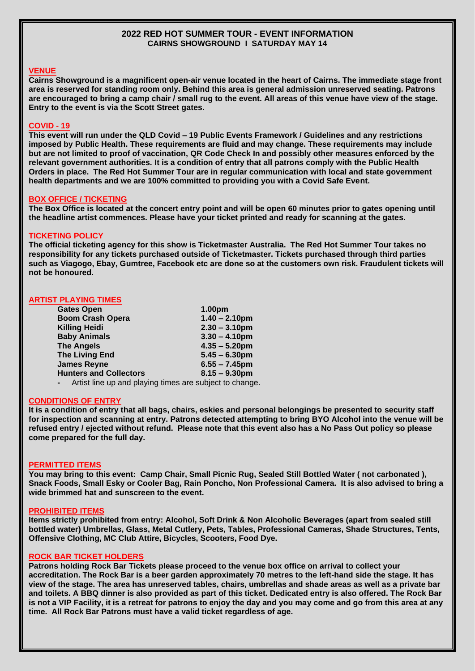### **2022 RED HOT SUMMER TOUR - EVENT INFORMATION CAIRNS SHOWGROUND I SATURDAY MAY 14**

## **VENUE**

**Cairns Showground is a magnificent open-air venue located in the heart of Cairns. The immediate stage front area is reserved for standing room only. Behind this area is general admission unreserved seating. Patrons are encouraged to bring a camp chair / small rug to the event. All areas of this venue have view of the stage. Entry to the event is via the Scott Street gates.** 

### **COVID - 19**

**This event will run under the QLD Covid – 19 Public Events Framework / Guidelines and any restrictions imposed by Public Health. These requirements are fluid and may change. These requirements may include but are not limited to proof of vaccination, QR Code Check In and possibly other measures enforced by the relevant government authorities. It is a condition of entry that all patrons comply with the Public Health Orders in place. The Red Hot Summer Tour are in regular communication with local and state government health departments and we are 100% committed to providing you with a Covid Safe Event.** 

#### **BOX OFFICE / TICKETING**

**The Box Office is located at the concert entry point and will be open 60 minutes prior to gates opening until the headline artist commences. Please have your ticket printed and ready for scanning at the gates.** 

#### **TICKETING POLICY**

**The official ticketing agency for this show is Ticketmaster Australia. The Red Hot Summer Tour takes no responsibility for any tickets purchased outside of Ticketmaster. Tickets purchased through third parties such as Viagogo, Ebay, Gumtree, Facebook etc are done so at the customers own risk. Fraudulent tickets will not be honoured.**

### **ARTIST PLAYING TIMES**

| <b>Gates Open</b>                                                         | 1.00pm           |
|---------------------------------------------------------------------------|------------------|
| <b>Boom Crash Opera</b>                                                   | $1.40 - 2.10$ pm |
| <b>Killing Heidi</b>                                                      | $2.30 - 3.10$ pm |
| <b>Baby Animals</b>                                                       | $3.30 - 4.10$ pm |
| <b>The Angels</b>                                                         | $4.35 - 5.20$ pm |
| <b>The Living End</b>                                                     | $5.45 - 6.30$ pm |
| <b>James Reyne</b>                                                        | $6.55 - 7.45$ pm |
| <b>Hunters and Collectors</b>                                             | $8.15 - 9.30$ pm |
| Artist line up and playing times are subject to change.<br>$\blacksquare$ |                  |

#### **CONDITIONS OF ENTRY**

**It is a condition of entry that all bags, chairs, eskies and personal belongings be presented to security staff for inspection and scanning at entry. Patrons detected attempting to bring BYO Alcohol into the venue will be refused entry / ejected without refund. Please note that this event also has a No Pass Out policy so please come prepared for the full day.**

#### **PERMITTED ITEMS**

**You may bring to this event: Camp Chair, Small Picnic Rug, Sealed Still Bottled Water ( not carbonated ), Snack Foods, Small Esky or Cooler Bag, Rain Poncho, Non Professional Camera. It is also advised to bring a wide brimmed hat and sunscreen to the event.**

### **PROHIBITED ITEMS**

**Items strictly prohibited from entry: Alcohol, Soft Drink & Non Alcoholic Beverages (apart from sealed still bottled water) Umbrellas, Glass, Metal Cutlery, Pets, Tables, Professional Cameras, Shade Structures, Tents, Offensive Clothing, MC Club Attire, Bicycles, Scooters, Food Dye.**

#### **ROCK BAR TICKET HOLDERS**

**Patrons holding Rock Bar Tickets please proceed to the venue box office on arrival to collect your accreditation. The Rock Bar is a beer garden approximately 70 metres to the left-hand side the stage. It has view of the stage. The area has unreserved tables, chairs, umbrellas and shade areas as well as a private bar and toilets. A BBQ dinner is also provided as part of this ticket. Dedicated entry is also offered. The Rock Bar is not a VIP Facility, it is a retreat for patrons to enjoy the day and you may come and go from this area at any time. All Rock Bar Patrons must have a valid ticket regardless of age.**